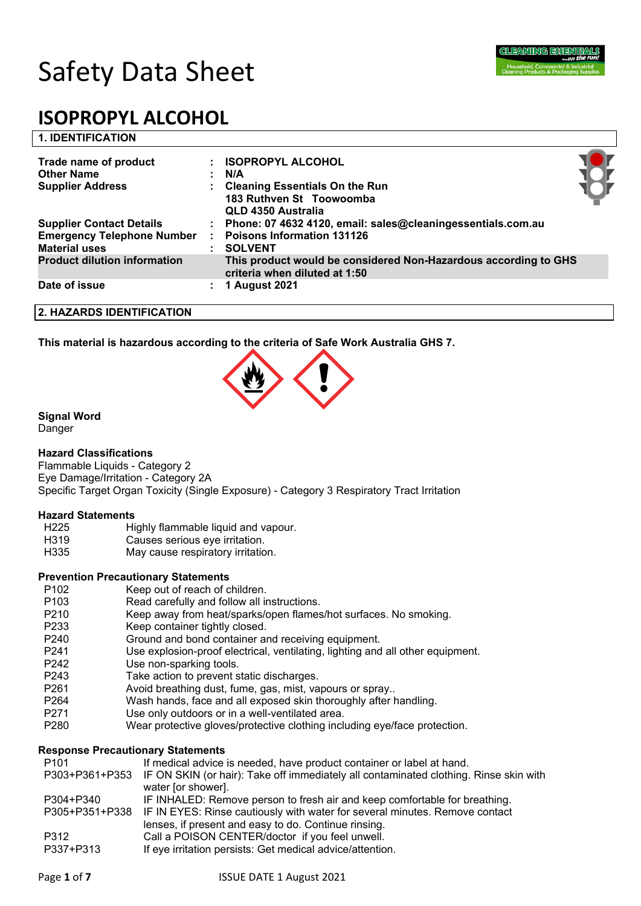

# **1. IDENTIFICATION**

| Trade name of product<br><b>Other Name</b><br><b>Supplier Address</b>                        | <b>ISOPROPYL ALCOHOL</b><br>N/A<br><b>Cleaning Essentials On the Run</b><br>183 Ruthven St Toowoomba<br>QLD 4350 Australia |  |
|----------------------------------------------------------------------------------------------|----------------------------------------------------------------------------------------------------------------------------|--|
| <b>Supplier Contact Details</b><br><b>Emergency Telephone Number</b><br><b>Material uses</b> | Phone: 07 4632 4120, email: sales@cleaningessentials.com.au<br><b>Poisons Information 131126</b><br><b>SOLVENT</b>         |  |
| <b>Product dilution information</b>                                                          | This product would be considered Non-Hazardous according to GHS<br>criteria when diluted at 1:50                           |  |
| Date of issue                                                                                | 1 August 2021                                                                                                              |  |

#### **2. HAZARDS IDENTIFICATION**

**This material is hazardous according to the criteria of Safe Work Australia GHS 7.**



# **Signal Word**

Danger

# **Hazard Classifications**

Flammable Liquids - Category 2 Eye Damage/Irritation - Category 2A Specific Target Organ Toxicity (Single Exposure) - Category 3 Respiratory Tract Irritation

#### **Hazard Statements**

- H225 Highly flammable liquid and vapour.
- H319 Causes serious eye irritation.
- H335 May cause respiratory irritation.

#### **Prevention Precautionary Statements**

- P102 Keep out of reach of children.
- P103 Read carefully and follow all instructions.
- P210 Keep away from heat/sparks/open flames/hot surfaces. No smoking.
- P233 Keep container tightly closed.
- P240 Ground and bond container and receiving equipment.
- P241 Use explosion-proof electrical, ventilating, lighting and all other equipment.
- P242 Use non-sparking tools.
- P243 Take action to prevent static discharges.
- P261 Avoid breathing dust, fume, gas, mist, vapours or spray..
- P264 Wash hands, face and all exposed skin thoroughly after handling.
- P271 Use only outdoors or in a well-ventilated area.
- P280 Wear protective gloves/protective clothing including eye/face protection.

# **Response Precautionary Statements**

| P <sub>101</sub> | If medical advice is needed, have product container or label at hand.                                |
|------------------|------------------------------------------------------------------------------------------------------|
|                  | P303+P361+P353 IF ON SKIN (or hair): Take off immediately all contaminated clothing. Rinse skin with |
|                  | water [or shower].                                                                                   |
| P304+P340        | IF INHALED: Remove person to fresh air and keep comfortable for breathing.                           |
|                  | P305+P351+P338 IF IN EYES: Rinse cautiously with water for several minutes. Remove contact           |
|                  | lenses, if present and easy to do. Continue rinsing.                                                 |
| P312             | Call a POISON CENTER/doctor if you feel unwell.                                                      |
| P337+P313        | If eye irritation persists: Get medical advice/attention.                                            |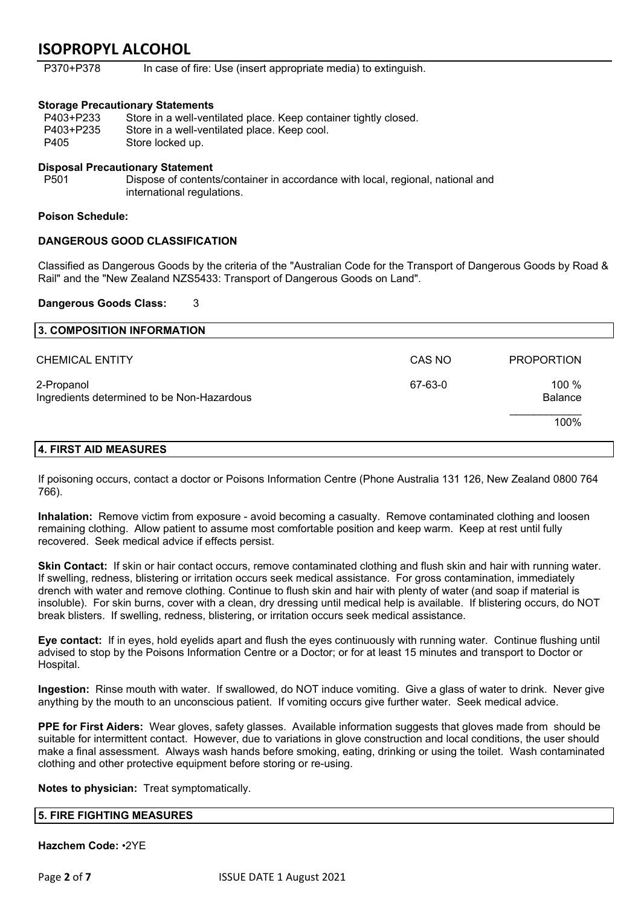P370+P378 In case of fire: Use (insert appropriate media) to extinguish.

### **Storage Precautionary Statements**

| P403+P233 | Store in a well-ventilated place. Keep container tightly closed. |
|-----------|------------------------------------------------------------------|
| P403+P235 | Store in a well-ventilated place. Keep cool.                     |
| P405      | Store locked up.                                                 |

#### **Disposal Precautionary Statement**

P501 Dispose of contents/container in accordance with local, regional, national and international regulations.

#### **Poison Schedule:**

# **DANGEROUS GOOD CLASSIFICATION**

Classified as Dangerous Goods by the criteria of the "Australian Code for the Transport of Dangerous Goods by Road & Rail" and the "New Zealand NZS5433: Transport of Dangerous Goods on Land".

# **Dangerous Goods Class:** 3

| 3. COMPOSITION INFORMATION                               |         |                           |
|----------------------------------------------------------|---------|---------------------------|
| <b>CHEMICAL ENTITY</b>                                   | CAS NO  | <b>PROPORTION</b>         |
| 2-Propanol<br>Ingredients determined to be Non-Hazardous | 67-63-0 | 100 $%$<br><b>Balance</b> |
|                                                          |         | 100%                      |
| 4. FIRST AID MEASURES                                    |         |                           |

If poisoning occurs, contact a doctor or Poisons Information Centre (Phone Australia 131 126, New Zealand 0800 764 766).

**Inhalation:** Remove victim from exposure - avoid becoming a casualty. Remove contaminated clothing and loosen remaining clothing. Allow patient to assume most comfortable position and keep warm. Keep at rest until fully recovered. Seek medical advice if effects persist.

**Skin Contact:** If skin or hair contact occurs, remove contaminated clothing and flush skin and hair with running water. If swelling, redness, blistering or irritation occurs seek medical assistance. For gross contamination, immediately drench with water and remove clothing. Continue to flush skin and hair with plenty of water (and soap if material is insoluble). For skin burns, cover with a clean, dry dressing until medical help is available. If blistering occurs, do NOT break blisters. If swelling, redness, blistering, or irritation occurs seek medical assistance.

**Eye contact:** If in eyes, hold eyelids apart and flush the eyes continuously with running water. Continue flushing until advised to stop by the Poisons Information Centre or a Doctor; or for at least 15 minutes and transport to Doctor or Hospital.

**Ingestion:** Rinse mouth with water. If swallowed, do NOT induce vomiting. Give a glass of water to drink. Never give anything by the mouth to an unconscious patient. If vomiting occurs give further water. Seek medical advice.

**PPE for First Aiders:** Wear gloves, safety glasses. Available information suggests that gloves made from should be suitable for intermittent contact. However, due to variations in glove construction and local conditions, the user should make a final assessment. Always wash hands before smoking, eating, drinking or using the toilet. Wash contaminated clothing and other protective equipment before storing or re-using.

**Notes to physician:** Treat symptomatically.

#### **5. FIRE FIGHTING MEASURES**

**Hazchem Code:** •2YE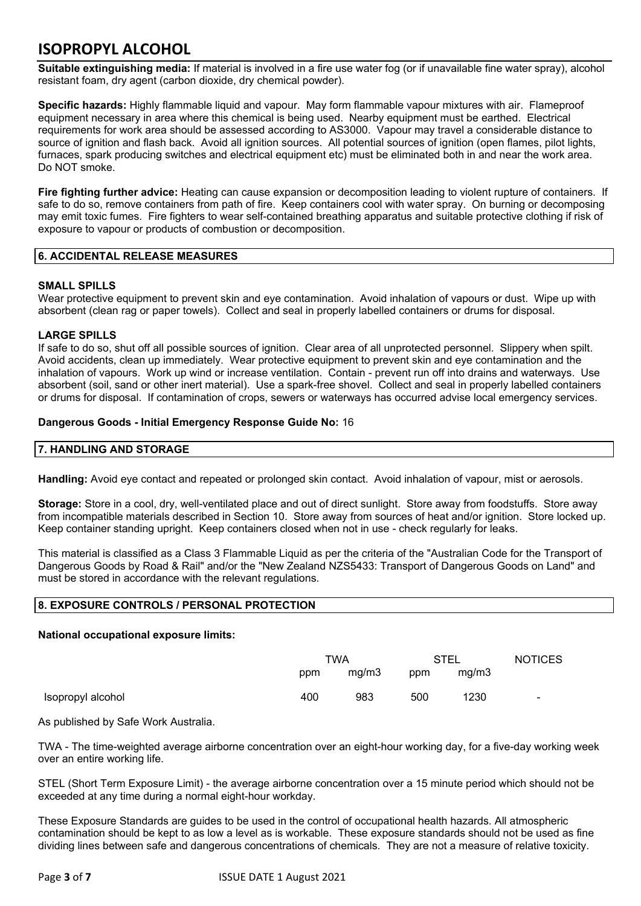**Suitable extinguishing media:** If material is involved in a fire use water fog (or if unavailable fine water spray), alcohol resistant foam, dry agent (carbon dioxide, dry chemical powder).

**Specific hazards:** Highly flammable liquid and vapour. May form flammable vapour mixtures with air. Flameproof equipment necessary in area where this chemical is being used. Nearby equipment must be earthed. Electrical requirements for work area should be assessed according to AS3000. Vapour may travel a considerable distance to source of ignition and flash back. Avoid all ignition sources. All potential sources of ignition (open flames, pilot lights, furnaces, spark producing switches and electrical equipment etc) must be eliminated both in and near the work area. Do NOT smoke.

**Fire fighting further advice:** Heating can cause expansion or decomposition leading to violent rupture of containers. If safe to do so, remove containers from path of fire. Keep containers cool with water spray. On burning or decomposing may emit toxic fumes. Fire fighters to wear self-contained breathing apparatus and suitable protective clothing if risk of exposure to vapour or products of combustion or decomposition.

# **6. ACCIDENTAL RELEASE MEASURES**

# **SMALL SPILLS**

Wear protective equipment to prevent skin and eye contamination. Avoid inhalation of vapours or dust. Wipe up with absorbent (clean rag or paper towels). Collect and seal in properly labelled containers or drums for disposal.

# **LARGE SPILLS**

If safe to do so, shut off all possible sources of ignition. Clear area of all unprotected personnel. Slippery when spilt. Avoid accidents, clean up immediately. Wear protective equipment to prevent skin and eye contamination and the inhalation of vapours. Work up wind or increase ventilation. Contain - prevent run off into drains and waterways. Use absorbent (soil, sand or other inert material). Use a spark-free shovel. Collect and seal in properly labelled containers or drums for disposal. If contamination of crops, sewers or waterways has occurred advise local emergency services.

#### **Dangerous Goods - Initial Emergency Response Guide No:** 16

# **7. HANDLING AND STORAGE**

**Handling:** Avoid eye contact and repeated or prolonged skin contact. Avoid inhalation of vapour, mist or aerosols.

**Storage:** Store in a cool, dry, well-ventilated place and out of direct sunlight. Store away from foodstuffs. Store away from incompatible materials described in Section 10. Store away from sources of heat and/or ignition. Store locked up. Keep container standing upright. Keep containers closed when not in use - check regularly for leaks.

This material is classified as a Class 3 Flammable Liquid as per the criteria of the "Australian Code for the Transport of Dangerous Goods by Road & Rail" and/or the "New Zealand NZS5433: Transport of Dangerous Goods on Land" and must be stored in accordance with the relevant regulations.

# **8. EXPOSURE CONTROLS / PERSONAL PROTECTION**

#### **National occupational exposure limits:**

|                   | TWA |       | STEL |       | <b>NOTICES</b> |
|-------------------|-----|-------|------|-------|----------------|
|                   | ppm | mg/m3 | ppm  | mg/m3 |                |
| Isopropyl alcohol | 400 | 983   | 500  | 1230  | $\sim$         |

As published by Safe Work Australia.

TWA - The time-weighted average airborne concentration over an eight-hour working day, for a five-day working week over an entire working life.

STEL (Short Term Exposure Limit) - the average airborne concentration over a 15 minute period which should not be exceeded at any time during a normal eight-hour workday.

These Exposure Standards are guides to be used in the control of occupational health hazards. All atmospheric contamination should be kept to as low a level as is workable. These exposure standards should not be used as fine dividing lines between safe and dangerous concentrations of chemicals. They are not a measure of relative toxicity.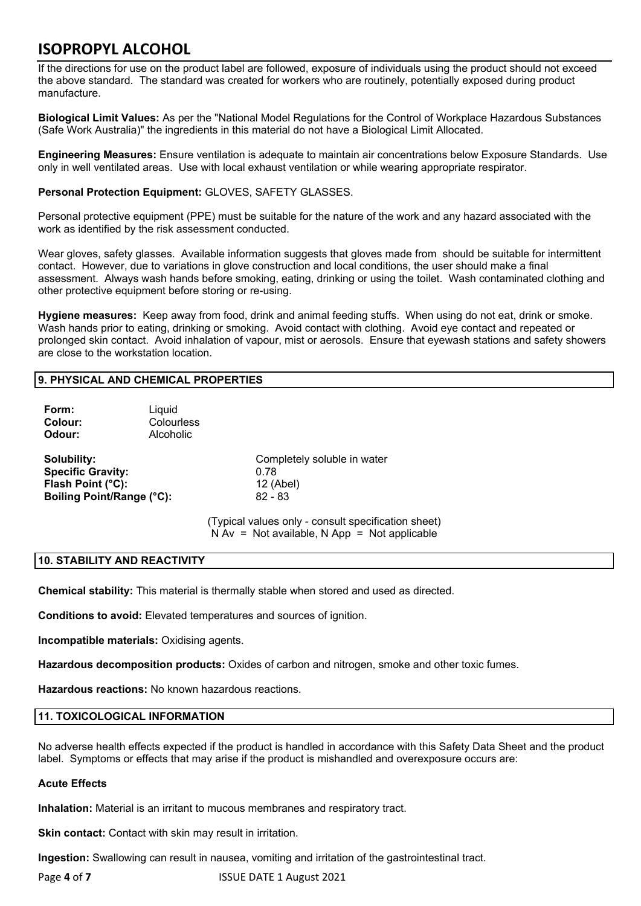If the directions for use on the product label are followed, exposure of individuals using the product should not exceed the above standard. The standard was created for workers who are routinely, potentially exposed during product manufacture.

**Biological Limit Values:** As per the "National Model Regulations for the Control of Workplace Hazardous Substances (Safe Work Australia)" the ingredients in this material do not have a Biological Limit Allocated.

**Engineering Measures:** Ensure ventilation is adequate to maintain air concentrations below Exposure Standards. Use only in well ventilated areas. Use with local exhaust ventilation or while wearing appropriate respirator.

# **Personal Protection Equipment:** GLOVES, SAFETY GLASSES.

Personal protective equipment (PPE) must be suitable for the nature of the work and any hazard associated with the work as identified by the risk assessment conducted.

Wear gloves, safety glasses. Available information suggests that gloves made from should be suitable for intermittent contact. However, due to variations in glove construction and local conditions, the user should make a final assessment. Always wash hands before smoking, eating, drinking or using the toilet. Wash contaminated clothing and other protective equipment before storing or re-using.

**Hygiene measures:** Keep away from food, drink and animal feeding stuffs. When using do not eat, drink or smoke. Wash hands prior to eating, drinking or smoking. Avoid contact with clothing. Avoid eye contact and repeated or prolonged skin contact. Avoid inhalation of vapour, mist or aerosols. Ensure that eyewash stations and safety showers are close to the workstation location.

# **9. PHYSICAL AND CHEMICAL PROPERTIES**

| Form:<br>Colour:<br>Odour:                                                                       | Liquid<br>Colourless<br>Alcoholic |                                                               |
|--------------------------------------------------------------------------------------------------|-----------------------------------|---------------------------------------------------------------|
| <b>Solubility:</b><br><b>Specific Gravity:</b><br>Flash Point (°C):<br>Boiling Point/Range (°C): |                                   | Completely soluble in water<br>0.78<br>12 (Abel)<br>$82 - 83$ |
|                                                                                                  |                                   | (Typical values only - consult specifica                      |

ation sheet)  $N Av = Not available, N App = Not applicable$ 

# **10. STABILITY AND REACTIVITY**

**Chemical stability:** This material is thermally stable when stored and used as directed.

**Conditions to avoid:** Elevated temperatures and sources of ignition.

**Incompatible materials:** Oxidising agents.

**Hazardous decomposition products:** Oxides of carbon and nitrogen, smoke and other toxic fumes.

**Hazardous reactions:** No known hazardous reactions.

# **11. TOXICOLOGICAL INFORMATION**

No adverse health effects expected if the product is handled in accordance with this Safety Data Sheet and the product label. Symptoms or effects that may arise if the product is mishandled and overexposure occurs are:

# **Acute Effects**

**Inhalation:** Material is an irritant to mucous membranes and respiratory tract.

**Skin contact:** Contact with skin may result in irritation.

**Ingestion:** Swallowing can result in nausea, vomiting and irritation of the gastrointestinal tract.

Page 4 of 7 **ISSUE DATE 1 August 2021**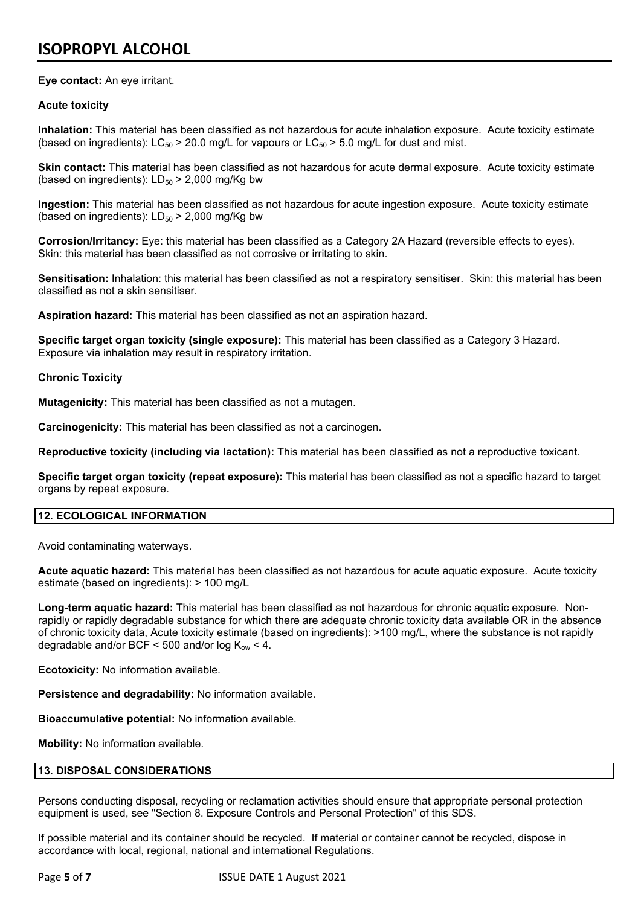# **Eye contact:** An eye irritant.

# **Acute toxicity**

**Inhalation:** This material has been classified as not hazardous for acute inhalation exposure. Acute toxicity estimate (based on ingredients):  $LC_{50}$  > 20.0 mg/L for vapours or  $LC_{50}$  > 5.0 mg/L for dust and mist.

**Skin contact:** This material has been classified as not hazardous for acute dermal exposure. Acute toxicity estimate (based on ingredients):  $LD_{50}$  > 2,000 mg/Kg bw

**Ingestion:** This material has been classified as not hazardous for acute ingestion exposure. Acute toxicity estimate (based on ingredients):  $LD_{50}$  > 2,000 mg/Kg bw

**Corrosion/Irritancy:** Eye: this material has been classified as a Category 2A Hazard (reversible effects to eyes). Skin: this material has been classified as not corrosive or irritating to skin.

**Sensitisation:** Inhalation: this material has been classified as not a respiratory sensitiser. Skin: this material has been classified as not a skin sensitiser.

**Aspiration hazard:** This material has been classified as not an aspiration hazard.

**Specific target organ toxicity (single exposure):** This material has been classified as a Category 3 Hazard. Exposure via inhalation may result in respiratory irritation.

# **Chronic Toxicity**

**Mutagenicity:** This material has been classified as not a mutagen.

**Carcinogenicity:** This material has been classified as not a carcinogen.

**Reproductive toxicity (including via lactation):** This material has been classified as not a reproductive toxicant.

**Specific target organ toxicity (repeat exposure):** This material has been classified as not a specific hazard to target organs by repeat exposure.

# **12. ECOLOGICAL INFORMATION**

Avoid contaminating waterways.

**Acute aquatic hazard:** This material has been classified as not hazardous for acute aquatic exposure. Acute toxicity estimate (based on ingredients): > 100 mg/L

**Long-term aquatic hazard:** This material has been classified as not hazardous for chronic aquatic exposure. Nonrapidly or rapidly degradable substance for which there are adequate chronic toxicity data available OR in the absence of chronic toxicity data, Acute toxicity estimate (based on ingredients): >100 mg/L, where the substance is not rapidly degradable and/or BCF < 500 and/or log  $K_{ow}$  < 4.

**Ecotoxicity:** No information available.

**Persistence and degradability:** No information available.

**Bioaccumulative potential:** No information available.

**Mobility:** No information available.

# **13. DISPOSAL CONSIDERATIONS**

Persons conducting disposal, recycling or reclamation activities should ensure that appropriate personal protection equipment is used, see "Section 8. Exposure Controls and Personal Protection" of this SDS.

If possible material and its container should be recycled. If material or container cannot be recycled, dispose in accordance with local, regional, national and international Regulations.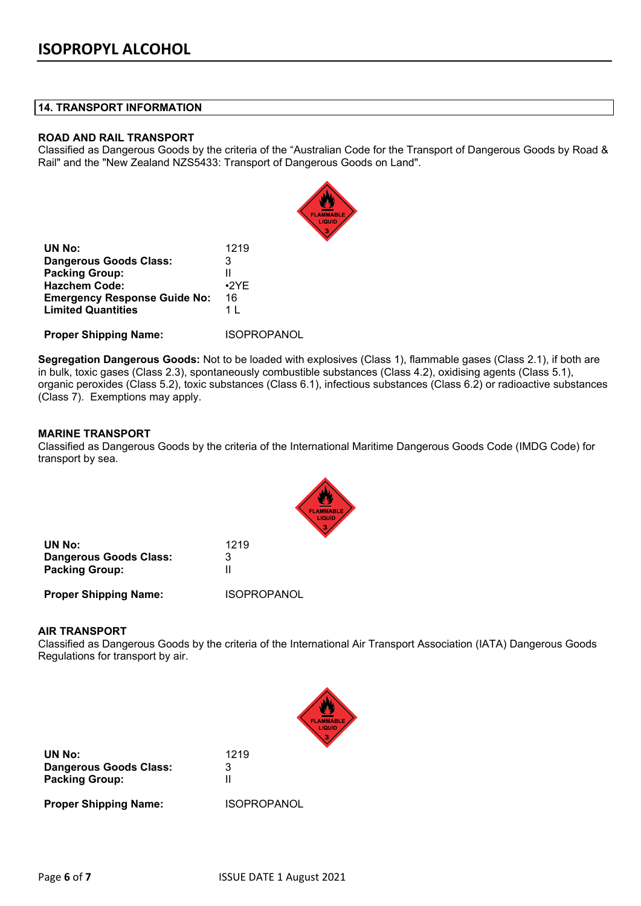# **14. TRANSPORT INFORMATION**

# **ROAD AND RAIL TRANSPORT**

Classified as Dangerous Goods by the criteria of the "Australian Code for the Transport of Dangerous Goods by Road & Rail" and the "New Zealand NZS5433: Transport of Dangerous Goods on Land".

| 1219        |
|-------------|
| 3           |
| н           |
| $\cdot$ 2YF |
| 16          |
| 1 I         |
|             |

**Proper Shipping Name:** ISOPROPANOL

**Segregation Dangerous Goods:** Not to be loaded with explosives (Class 1), flammable gases (Class 2.1), if both are in bulk, toxic gases (Class 2.3), spontaneously combustible substances (Class 4.2), oxidising agents (Class 5.1), organic peroxides (Class 5.2), toxic substances (Class 6.1), infectious substances (Class 6.2) or radioactive substances (Class 7). Exemptions may apply.

# **MARINE TRANSPORT**

Classified as Dangerous Goods by the criteria of the International Maritime Dangerous Goods Code (IMDG Code) for transport by sea.



| UN No:                        | 1219               |
|-------------------------------|--------------------|
| <b>Dangerous Goods Class:</b> | 3                  |
| <b>Packing Group:</b>         |                    |
| <b>Proper Shipping Name:</b>  | <b>ISOPROPANOL</b> |

#### **AIR TRANSPORT**

Classified as Dangerous Goods by the criteria of the International Air Transport Association (IATA) Dangerous Goods Regulations for transport by air.



**UN No:** 1219 **Dangerous Goods Class:** 3 **Packing Group:** II

**Proper Shipping Name:** ISOPROPANOL